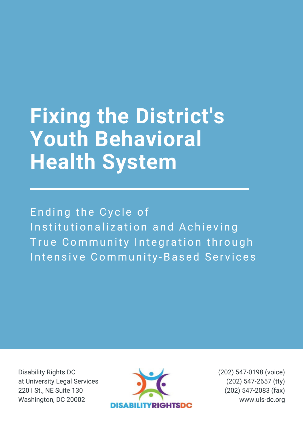# **Fixing the District's Youth Behavioral Health System**

Ending the Cycle of Institutionalization and Achieving True Community Integration through Intensive Community-Based Services

Disability Rights DC at University Legal Services 220 I St., NE Suite 130 Washington, DC 20002



(202) 547-0198 (voice) (202) 547-2657 (tty) (202) 547-2083 (fax) www.uls-dc.org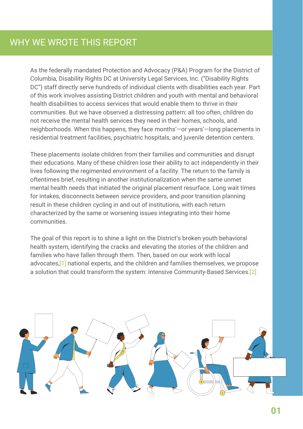As the federally mandated Protection and Advocacy (P&A) Program for the District of Columbia, Disability Rights DC at University Legal Services, Inc. ("Disability Rights DC") staff directly serve hundreds of individual clients with disabilities each year. Part of this work involves assisting District children and youth with mental and behavioral health disabilities to access services that would enable them to thrive in their communities. But we have observed a distressing pattern: all too often, children do not receive the mental health services they need in their homes, schools, and neighborhoods. When this happens, they face months'—or years'—long placements in residential treatment facilities, psychiatric hospitals, and juvenile detention centers.

These placements isolate children from their families and communities and disrupt their educations. Many of these children lose their ability to act independently in their lives following the regimented environment of a facility. The return to the family is oftentimes brief, resulting in another institutionalization when the same unmet mental health needs that initiated the original placement resurface. Long wait times for intakes, disconnects between service providers, and poor transition planning result in these children cycling in and out of institutions, with each return characterized by the same or worsening issues integrating into their home communities.

The goal of this report is to shine a light on the District's broken youth behavioral health system, identifying the cracks and elevating the stories of the children and families who have fallen through them. Then, based on our work with local advocates,[1] national experts, and the children and families themselves, we propose a solution that could transform the system: Intensive Community-Based Services.[2]

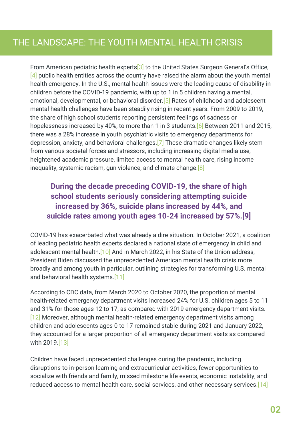From American pediatric health experts<sup>[3]</sup> to the United States Surgeon General's Office,  $[4]$  public health entities across the country have raised the alarm about the youth mental health emergency. In the U.S., mental health issues were the leading cause of disability in children before the COVID-19 pandemic, with up to 1 in 5 children having a mental, emotional, developmental, or behavioral disorder.<sup>[5]</sup> Rates of childhood and adolescent mental health challenges have been steadily rising in recent years. From 2009 to 2019, the share of high school students reporting persistent feelings of sadness or hopelessness increased by 40%, to more than 1 in 3 students. **[6]** Between 2011 and 2015, there was a 28% increase in youth psychiatric visits to emergency departments for depression, anxiety, and behavioral challenges.[7] These dramatic changes likely stem from various societal forces and stressors, including increasing digital media use, heightened academic pressure, limited access to mental health care, rising income inequality, systemic racism, gun violence, and climate change.[8]

## **During the decade preceding COVID-19, the share of high school students seriously considering attempting suicide increased by 36%, suicide plans increased by 44%, and suicide rates among youth ages 10-24 increased by 57%.[9]**

COVID-19 has exacerbated what was already a dire situation. In October 2021, a coalition of leading pediatric health experts declared a national state of emergency in child and adolescent mental health.<sup>[10]</sup> And in March 2022, in his State of the Union address, President Biden discussed the unprecedented American mental health crisis more broadly and among youth in particular, outlining strategies for transforming U.S. mental and behavioral health systems.[11]

According to CDC data, from March 2020 to October 2020, the proportion of mental health-related emergency department visits increased 24% for U.S. children ages 5 to 11 and 31% for those ages 12 to 17, as compared with 2019 emergency department visits. [12] Moreover, although mental health-related emergency department visits among children and adolescents ages 0 to 17 remained stable during 2021 and January 2022, they accounted for a larger proportion of all emergency department visits as compared with 2019.[13]

Children have faced unprecedented challenges during the pandemic, including disruptions to in-person learning and extracurricular activities, fewer opportunities to socialize with friends and family, missed milestone life events, economic instability, and reduced access to mental health care, social services, and other necessary services.[14]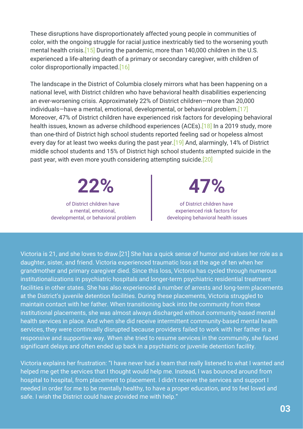These disruptions have disproportionately affected young people in communities of color, with the ongoing struggle for racial justice inextricably tied to the worsening youth mental health crisis.<sup>[15]</sup> During the pandemic, more than 140,000 children in the U.S. experienced a life-altering death of a primary or secondary caregiver, with children of color disproportionally impacted.[16]

The landscape in the District of Columbia closely mirrors what has been happening on a national level, with District children who have behavioral health disabilities experiencing an ever-worsening crisis. Approximately 22% of District children—more than 20,000 individuals—have a mental, emotional, developmental, or behavioral problem.[17] Moreover, 47% of District children have experienced risk factors for developing behavioral health issues, known as adverse childhood experiences (ACEs).<sup>[18]</sup> In a 2019 study, more than one-third of District high school students reported feeling sad or hopeless almost every day for at least two weeks during the past year. [19] And, alarmingly, 14% of District middle school students and 15% of District high school students attempted suicide in the past year, with even more youth considering attempting suicide.[20]

**22% 47%** of District children have

a mental, emotional, developmental, or behavioral problem

of District children have experienced risk factors for developing behavioral health issues

Victoria is 21, and she loves to draw.[21] She has a quick sense of humor and values her role as a daughter, sister, and friend. Victoria experienced traumatic loss at the age of ten when her grandmother and primary caregiver died. Since this loss, Victoria has cycled through numerous institutionalizations in psychiatric hospitals and longer-term psychiatric residential treatment facilities in other states. She has also experienced a number of arrests and long-term placements at the District's juvenile detention facilities. During these placements, Victoria struggled to maintain contact with her father. When transitioning back into the community from these institutional placements, she was almost always discharged without community-based mental health services in place. And when she did receive intermittent community-based mental health services, they were continually disrupted because providers failed to work with her father in a responsive and supportive way. When she tried to resume services in the community, she faced significant delays and often ended up back in a psychiatric or juvenile detention facility.

Victoria explains her frustration: "I have never had a team that really listened to what I wanted and helped me get the services that I thought would help me. Instead, I was bounced around from hospital to hospital, from placement to placement. I didn't receive the services and support I needed in order for me to be mentally healthy, to have a proper education, and to feel loved and safe. I wish the District could have provided me with help."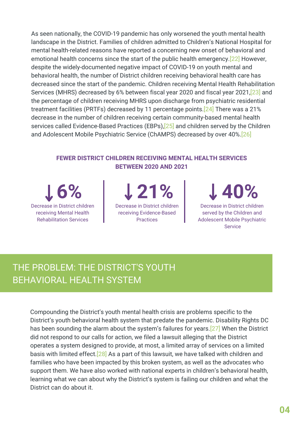As seen nationally, the COVID-19 pandemic has only worsened the youth mental health landscape in the District. Families of children admitted to Children's National Hospital for mental health-related reasons have reported a concerning new onset of behavioral and emotional health concerns since the start of the public health emergency.[22] However, despite the widely-documented negative impact of COVID-19 on youth mental and behavioral health, the number of District children receiving behavioral health care has decreased since the start of the pandemic. Children receiving Mental Health Rehabilitation Services (MHRS) decreased by 6% between fiscal year 2020 and fiscal year 2021,[23] and the percentage of children receiving MHRS upon discharge from psychiatric residential treatment facilities (PRTFs) decreased by 11 percentage points.[24] There was a 21% decrease in the number of children receiving certain community-based mental health services called Evidence-Based Practices (EBPs),<sup>[25]</sup> and children served by the Children and Adolescent Mobile Psychiatric Service (ChAMPS) decreased by over 40%.[26]

#### **FEWER DISTRICT CHILDREN RECEIVING MENTAL HEALTH SERVICES BETWEEN 2020 AND 2021**

**6%** Decrease in District children receiving Mental Health Rehabilitation Services

**21%** Decrease in District children receiving Evidence-Based Practices

**40%**

Decrease in District children served by the Children and Adolescent Mobile Psychiatric **Service** 

# THE PROBLEM: THE DISTRICT'S YOUTH BEHAVIORAL HEALTH SYSTEM

Compounding the District's youth mental health crisis are problems specific to the District's youth behavioral health system that predate the pandemic. Disability Rights DC has been sounding the alarm about the system's failures for years.[27] When the District did not respond to our calls for action, we filed a lawsuit alleging that the District operates a system designed to provide, at most, a limited array of services on a limited basis with limited effect.<sup>[28]</sup> As a part of this lawsuit, we have talked with children and families who have been impacted by this broken system, as well as the advocates who support them. We have also worked with national experts in children's behavioral health, learning what we can about why the District's system is failing our children and what the District can do about it.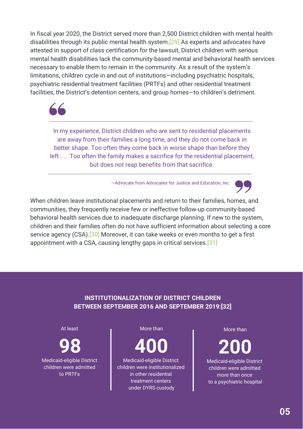In fiscal year 2020, the District served more than 2,500 District children with mental health disabilities through its public mental health system.[29] As experts and advocates have attested in support of class certification for the lawsuit, District children with serious mental health disabilities lack the community-based mental and behavioral health services necessary to enable them to remain in the community. As a result of the system's limitations, children cycle in and out of institutions—including psychiatric hospitals, psychiatric residential treatment facilities (PRTFs) and other residential treatment facilities, the District's detention centers, and group homes—to children's detriment.



In my experience, District children who are sent to residential placements are away from their families a long time, and they do not come back in better shape. Too often they come back in worse shape than before they left . . . Too often the family makes a sacrifice for the residential placement, but does not reap benefits from that sacrifice.

—Advocate from Advocates for Justice and Education, Inc.

When children leave institutional placements and return to their families, homes, and communities, they frequently receive few or ineffective follow-up community-based behavioral health services due to inadequate discharge planning. If new to the system, children and their families often do not have sufficient information about selecting a core service agency (CSA).<sup>[30]</sup> Moreover, it can take weeks or even months to get a first appointment with a CSA, causing lengthy gaps in critical services.[31]

#### **INSTITUTIONALIZATION OF DISTRICT CHILDREN BETWEEN SEPTEMBER 2016 AND SEPTEMBER 2019:[32]**

#### At least

**98** Medicaid-eligible District

children were admitted to PRTFs

#### More than

**400**

Medicaid-eligible District children were institutionalized in other residential treatment centers under DYRS custody

More than

**200** Medicaid-eligible District children were admitted more than once to a psychiatric hospital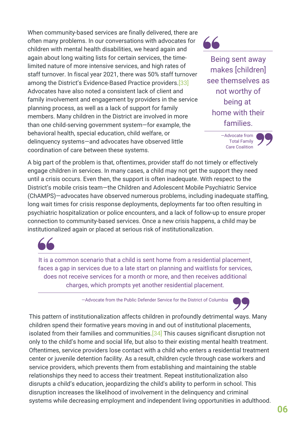When community-based services are finally delivered, there are often many problems. In our conversations with advocates for children with mental health disabilities, we heard again and again about long waiting lists for certain services, the timelimited nature of more intensive services, and high rates of staff turnover. In fiscal year 2021, there was 50% staff turnover among the District's Evidence-Based Practice providers.[33] Advocates have also noted a consistent lack of client and family involvement and engagement by providers in the service planning process, as well as a lack of support for family members. Many children in the District are involved in more than one child-serving government system—for example, the behavioral health, special education, child welfare, or delinquency systems—and advocates have observed little coordination of care between these systems.

Being sent away makes [children] see themselves as not worthy of being at home with their families.



A big part of the problem is that, oftentimes, provider staff do not timely or effectively engage children in services. In many cases, a child may not get the support they need until a crisis occurs. Even then, the support is often inadequate. With respect to the District's mobile crisis team—the Children and Adolescent Mobile Psychiatric Service (ChAMPS)—advocates have observed numerous problems, including inadequate staffing, long wait times for crisis response deployments, deployments far too often resulting in psychiatric hospitalization or police encounters, and a lack of follow-up to ensure proper connection to community-based services. Once a new crisis happens, a child may be institutionalized again or placed at serious risk of institutionalization.



It is a common scenario that a child is sent home from a residential placement, faces a gap in services due to a late start on planning and waitlists for services, does not receive services for a month or more, and then receives additional charges, which prompts yet another residential placement.

—Advocate from the Public Defender Service for the District of Columbia



This pattern of institutionalization affects children in profoundly detrimental ways. Many children spend their formative years moving in and out of institutional placements, isolated from their families and communities.<sup>[34]</sup> This causes significant disruption not only to the child's home and social life, but also to their existing mental health treatment. Oftentimes, service providers lose contact with a child who enters a residential treatment center or juvenile detention facility. As a result, children cycle through case workers and service providers, which prevents them from establishing and maintaining the stable relationships they need to access their treatment. Repeat institutionalization also disrupts a child's education, jeopardizing the child's ability to perform in school. This disruption increases the likelihood of involvement in the delinquency and criminal systems while decreasing employment and independent living opportunities in adulthood.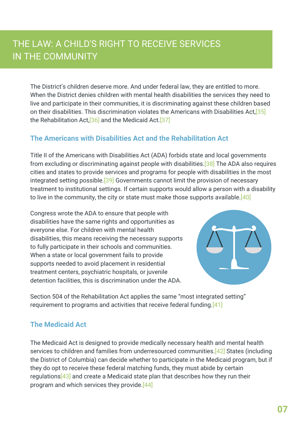# THE LAW: A CHILD'S RIGHT TO RECEIVE SERVICES IN THE COMMUNITY

The District's children deserve more. And under federal law, they are entitled to more. When the District denies children with mental health disabilities the services they need to live and participate in their communities, it is discriminating against these children based on their disabilities. This discrimination violates the Americans with Disabilities Act,[35] the Rehabilitation Act,[36] and the Medicaid Act.[37]

## **The Americans with Disabilities Act and the Rehabilitation Act**

Title II of the Americans with Disabilities Act (ADA) forbids state and local governments from excluding or discriminating against people with disabilities.[38] The ADA also requires cities and states to provide services and programs for people with disabilities in the most integrated setting possible.<sup>[39]</sup> Governments cannot limit the provision of necessary treatment to institutional settings. If certain supports would allow a person with a disability to live in the community, the city or state must make those supports available.[40]

Congress wrote the ADA to ensure that people with disabilities have the same rights and opportunities as everyone else. For children with mental health disabilities, this means receiving the necessary supports to fully participate in their schools and communities. When a state or local government fails to provide supports needed to avoid placement in residential treatment centers, psychiatric hospitals, or juvenile detention facilities, this is discrimination under the ADA.



Section 504 of the Rehabilitation Act applies the same "most integrated setting" requirement to programs and activities that receive federal funding.[41]

### **The Medicaid Act**

The Medicaid Act is designed to provide medically necessary health and mental health services to children and families from underresourced communities.<sup>[42]</sup> States (including the District of Columbia) can decide whether to participate in the Medicaid program, but if they do opt to receive these federal matching funds, they must abide by certain regulations $[43]$  and create a Medicaid state plan that describes how they run their program and which services they provide.[44]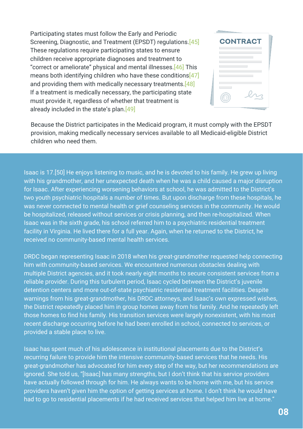Participating states must follow the Early and Periodic Screening, Diagnostic, and Treatment (EPSDT) regulations.[45] These regulations require participating states to ensure children receive appropriate diagnoses and treatment to "correct or ameliorate" physical and mental illnesses.[46] This means both identifying children who have these conditions  $[47]$ and providing them with medically necessary treatments. [48] If a treatment is medically necessary, the participating state must provide it, regardless of whether that treatment is already included in the state's plan.[49]

| <b>CONTRACT</b> |  |
|-----------------|--|
|                 |  |
|                 |  |
|                 |  |

Because the District participates in the Medicaid program, it must comply with the EPSDT provision, making medically necessary services available to all Medicaid-eligible District children who need them.

Isaac is 17.[50] He enjoys listening to music, and he is devoted to his family. He grew up living with his grandmother, and her unexpected death when he was a child caused a major disruption for Isaac. After experiencing worsening behaviors at school, he was admitted to the District's two youth psychiatric hospitals a number of times. But upon discharge from these hospitals, he was never connected to mental health or grief counseling services in the community. He would be hospitalized, released without services or crisis planning, and then re-hospitalized. When Isaac was in the sixth grade, his school referred him to a psychiatric residential treatment facility in Virginia. He lived there for a full year. Again, when he returned to the District, he received no community-based mental health services.

DRDC began representing Isaac in 2018 when his great-grandmother requested help connecting him with community-based services. We encountered numerous obstacles dealing with multiple District agencies, and it took nearly eight months to secure consistent services from a reliable provider. During this turbulent period, Isaac cycled between the District's juvenile detention centers and more out-of-state psychiatric residential treatment facilities. Despite warnings from his great-grandmother, his DRDC attorneys, and Isaac's own expressed wishes, the District repeatedly placed him in group homes away from his family. And he repeatedly left those homes to find his family. His transition services were largely nonexistent, with his most recent discharge occurring before he had been enrolled in school, connected to services, or provided a stable place to live.

Isaac has spent much of his adolescence in institutional placements due to the District's recurring failure to provide him the intensive community-based services that he needs. His great-grandmother has advocated for him every step of the way, but her recommendations are ignored. She told us, "[Isaac] has many strengths, but I don't think that his service providers have actually followed through for him. He always wants to be home with me, but his service providers haven't given him the option of getting services at home. I don't think he would have had to go to residential placements if he had received services that helped him live at home."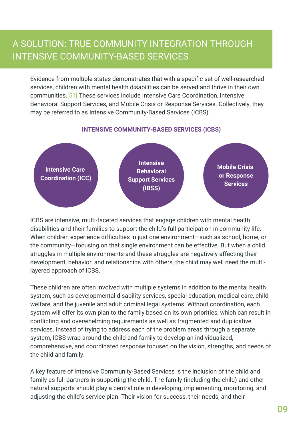## A SOLUTION: TRUE COMMUNITY INTEGRATION THROUGH INTENSIVE COMMUNITY-BASED SERVICES

Evidence from multiple states demonstrates that with a specific set of well-researched services, children with mental health disabilities can be served and thrive in their own communities.[51] These services include Intensive Care Coordination, Intensive Behavioral Support Services, and Mobile Crisis or Response Services. Collectively, they may be referred to as Intensive Community-Based Services (ICBS).

#### **INTENSIVE COMMUNITY-BASED SERVICES (ICBS)**



ICBS are intensive, multi-faceted services that engage children with mental health disabilities and their families to support the child's full participation in community life. When children experience difficulties in just one environment—such as school, home, or the community—focusing on that single environment can be effective. But when a child struggles in multiple environments and these struggles are negatively affecting their development, behavior, and relationships with others, the child may well need the multilayered approach of ICBS.

These children are often involved with multiple systems in addition to the mental health system, such as developmental disability services, special education, medical care, child welfare, and the juvenile and adult criminal legal systems. Without coordination, each system will offer its own plan to the family based on its own priorities, which can result in conflicting and overwhelming requirements as well as fragmented and duplicative services. Instead of trying to address each of the problem areas through a separate system, ICBS wrap around the child and family to develop an individualized, comprehensive, and coordinated response focused on the vision, strengths, and needs of the child and family.

A key feature of Intensive Community-Based Services is the inclusion of the child and family as full partners in supporting the child. The family (including the child) and other natural supports should play a central role in developing, implementing, monitoring, and adjusting the child's service plan. Their vision for success, their needs, and their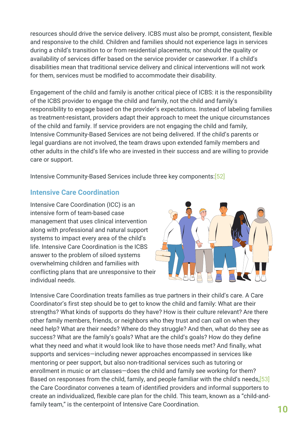resources should drive the service delivery. ICBS must also be prompt, consistent, flexible and responsive to the child. Children and families should not experience lags in services during a child's transition to or from residential placements, nor should the quality or availability of services differ based on the service provider or caseworker. If a child's disabilities mean that traditional service delivery and clinical interventions will not work for them, services must be modified to accommodate their disability.

Engagement of the child and family is another critical piece of ICBS: it is the responsibility of the ICBS provider to engage the child and family, not the child and family's responsibility to engage based on the provider's expectations. Instead of labeling families as treatment-resistant, providers adapt their approach to meet the unique circumstances of the child and family. If service providers are not engaging the child and family, Intensive Community-Based Services are not being delivered. If the child's parents or legal guardians are not involved, the team draws upon extended family members and other adults in the child's life who are invested in their success and are willing to provide care or support.

Intensive Community-Based Services include three key components:[52]

### **Intensive Care Coordination**

Intensive Care Coordination (ICC) is an intensive form of team-based case management that uses clinical intervention along with professional and natural support systems to impact every area of the child's life. Intensive Care Coordination is the ICBS answer to the problem of siloed systems overwhelming children and families with conflicting plans that are unresponsive to their individual needs.



Intensive Care Coordination treats families as true partners in their child's care. A Care Coordinator's first step should be to get to know the child and family: What are their strengths? What kinds of supports do they have? How is their culture relevant? Are there other family members, friends, or neighbors who they trust and can call on when they need help? What are their needs? Where do they struggle? And then, what do they see as success? What are the family's goals? What are the child's goals? How do they define what they need and what it would look like to have those needs met? And finally, what supports and services—including newer approaches encompassed in services like mentoring or peer support, but also non-traditional services such as tutoring or enrollment in music or art classes—does the child and family see working for them? Based on responses from the child, family, and people familiar with the child's needs,[53] the Care Coordinator convenes a team of identified providers and informal supporters to create an individualized, flexible care plan for the child. This team, known as a "child-andfamily team," is the centerpoint of Intensive Care Coordination. **10**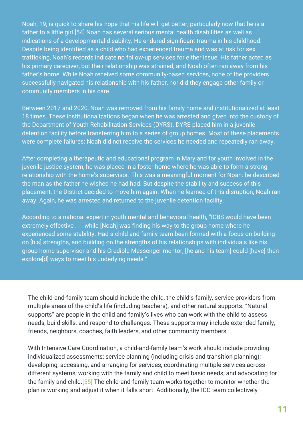Noah, 19, is quick to share his hope that his life will get better, particularly now that he is a father to a little girl.[54] Noah has several serious mental health disabilities as well as indications of a developmental disability. He endured significant trauma in his childhood. Despite being identified as a child who had experienced trauma and was at risk for sex trafficking, Noah's records indicate no follow-up services for either issue. His father acted as his primary caregiver, but their relationship was strained, and Noah often ran away from his father's home. While Noah received some community-based services, none of the providers successfully navigated his relationship with his father, nor did they engage other family or community members in his care.

Between 2017 and 2020, Noah was removed from his family home and institutionalized at least 18 times. These institutionalizations began when he was arrested and given into the custody of the Department of Youth Rehabilitation Services (DYRS). DYRS placed him in a juvenile detention facility before transferring him to a series of group homes. Most of these placements were complete failures: Noah did not receive the services he needed and repeatedly ran away.

After completing a therapeutic and educational program in Maryland for youth involved in the juvenile justice system, he was placed in a foster home where he was able to form a strong relationship with the home's supervisor. This was a meaningful moment for Noah: he described the man as the father he wished he had had. But despite the stability and success of this placement, the District decided to move him again. When he learned of this disruption, Noah ran away. Again, he was arrested and returned to the juvenile detention facility.

According to a national expert in youth mental and behavioral health, "ICBS would have been extremely effective . . . while [Noah] was finding his way to the group home where he experienced some stability. Had a child and family team been formed with a focus on building on [his] strengths, and building on the strengths of his relationships with individuals like his group home supervisor and his Credible Messenger mentor, [he and his team] could [have] then explore[d] ways to meet his underlying needs."

The child-and-family team should include the child, the child's family, service providers from multiple areas of the child's life (including teachers), and other natural supports. "Natural supports" are people in the child and family's lives who can work with the child to assess needs, build skills, and respond to challenges. These supports may include extended family, friends, neighbors, coaches, faith leaders, and other community members.

With Intensive Care Coordination, a child-and-family team's work should include providing individualized assessments; service planning (including crisis and transition planning); developing, accessing, and arranging for services; coordinating multiple services across different systems; working with the family and child to meet basic needs; and advocating for the family and child.[55] The child-and-family team works together to monitor whether the plan is working and adjust it when it falls short. Additionally, the ICC team collectively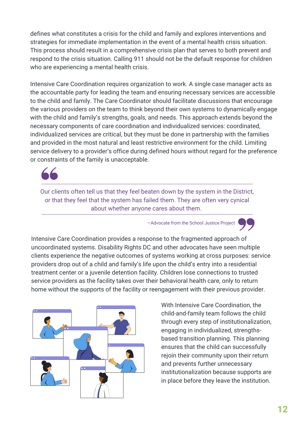defines what constitutes a crisis for the child and family and explores interventions and strategies for immediate implementation in the event of a mental health crisis situation. This process should result in a comprehensive crisis plan that serves to both prevent and respond to the crisis situation. Calling 911 should not be the default response for children who are experiencing a mental health crisis.

Intensive Care Coordination requires organization to work. A single case manager acts as the accountable party for leading the team and ensuring necessary services are accessible to the child and family. The Care Coordinator should facilitate discussions that encourage the various providers on the team to think beyond their own systems to dynamically engage with the child and family's strengths, goals, and needs. This approach extends beyond the necessary components of care coordination and individualized services: coordinated, individualized services are critical, but they must be done in partnership with the families and provided in the most natural and least restrictive environment for the child. Limiting service delivery to a provider's office during defined hours without regard for the preference or constraints of the family is unacceptable.



Our clients often tell us that they feel beaten down by the system in the District, or that they feel that the system has failed them. They are often very cynical about whether anyone cares about them.

—Advocate from the School Justice Project

Intensive Care Coordination provides a response to the fragmented approach of uncoordinated systems. Disability Rights DC and other advocates have seen multiple clients experience the negative outcomes of systems working at cross purposes: service providers drop out of a child and family's life upon the child's entry into a residential treatment center or a juvenile detention facility. Children lose connections to trusted service providers as the facility takes over their behavioral health care, only to return home without the supports of the facility or reengagement with their previous provider.



With Intensive Care Coordination, the child-and-family team follows the child through every step of institutionalization, engaging in individualized, strengthsbased transition planning. This planning ensures that the child can successfully rejoin their community upon their return and prevents further unnecessary institutionalization because supports are in place before they leave the institution.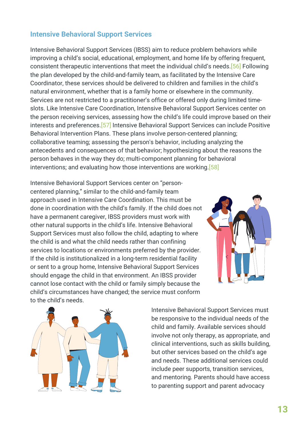#### **Intensive Behavioral Support Services**

Intensive Behavioral Support Services (IBSS) aim to reduce problem behaviors while improving a child's social, educational, employment, and home life by offering frequent, consistent therapeutic interventions that meet the individual child's needs.[56] Following the plan developed by the child-and-family team, as facilitated by the Intensive Care Coordinator, these services should be delivered to children and families in the child's natural environment, whether that is a family home or elsewhere in the community. Services are not restricted to a practitioner's office or offered only during limited timeslots. Like Intensive Care Coordination, Intensive Behavioral Support Services center on the person receiving services, assessing how the child's life could improve based on their interests and preferences.[57] Intensive Behavioral Support Services can include Positive Behavioral Intervention Plans. These plans involve person-centered planning; collaborative teaming; assessing the person's behavior, including analyzing the antecedents and consequences of that behavior; hypothesizing about the reasons the person behaves in the way they do; multi-component planning for behavioral interventions; and evaluating how those interventions are working.<sup>[58]</sup>

Intensive Behavioral Support Services center on "personcentered planning," similar to the child-and-family team approach used in Intensive Care Coordination. This must be done in coordination with the child's family. If the child does not have a permanent caregiver, IBSS providers must work with other natural supports in the child's life. Intensive Behavioral Support Services must also follow the child, adapting to where the child is and what the child needs rather than confining services to locations or environments preferred by the provider. If the child is institutionalized in a long-term residential facility or sent to a group home, Intensive Behavioral Support Services should engage the child in that environment. An IBSS provider cannot lose contact with the child or family simply because the child's circumstances have changed; the service must conform to the child's needs.





Intensive Behavioral Support Services must be responsive to the individual needs of the child and family. Available services should involve not only therapy, as appropriate, and clinical interventions, such as skills building, but other services based on the child's age and needs. These additional services could include peer supports, transition services, and mentoring. Parents should have access to parenting support and parent advocacy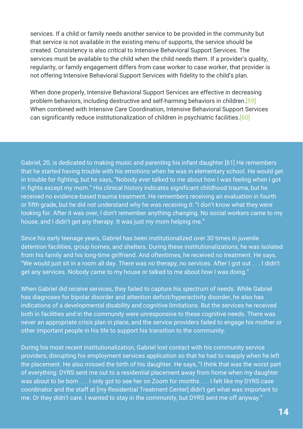services. If a child or family needs another service to be provided in the community but that service is not available in the existing menu of supports, the service should be created. Consistency is also critical to Intensive Behavioral Support Services. The services must be available to the child when the child needs them. If a provider's quality, regularity, or family engagement differs from case worker to case worker, that provider is not offering Intensive Behavioral Support Services with fidelity to the child's plan.

When done properly, Intensive Behavioral Support Services are effective in decreasing problem behaviors, including destructive and self-harming behaviors in children.[59] When combined with Intensive Care Coordination, Intensive Behavioral Support Services can significantly reduce institutionalization of children in psychiatric facilities.[60]

Gabriel, 20, is dedicated to making music and parenting his infant daughter.[61] He remembers that he started having trouble with his emotions when he was in elementary school. He would get in trouble for fighting, but he says, "Nobody ever talked to me about how I was feeling when I got in fights except my mom." His clinical history indicates significant childhood trauma, but he received no evidence-based trauma treatment. He remembers receiving an evaluation in fourth or fifth grade, but he did not understand why he was receiving it: "I don't know what they were looking for. After it was over, I don't remember anything changing. No social workers came to my house, and I didn't get any therapy. It was just my mom helping me."

Since his early teenage years, Gabriel has been institutionalized over 30 times in juvenile detention facilities, group homes, and shelters. During these institutionalizations, he was isolated from his family and his long-time girlfriend. And oftentimes, he received no treatment. He says, "We would just sit in a room all day. There was no therapy, no services. After I got out . . . I didn't get any services. Nobody came to my house or talked to me about how I was doing."

When Gabriel did receive services, they failed to capture his spectrum of needs. While Gabriel has diagnoses for bipolar disorder and attention deficit/hyperactivity disorder, he also has indications of a developmental disability and cognitive limitations. But the services he received both in facilities and in the community were unresponsive to these cognitive needs. There was never an appropriate crisis plan in place, and the service providers failed to engage his mother or other important people in his life to support his transition to the community.

During his most recent institutionalization, Gabriel lost contact with his community service providers, disrupting his employment services application so that he had to reapply when he left the placement. He also missed the birth of his daughter. He says, "I think that was the worst part of everything: DYRS sent me out to a residential placement away from home when my daughter was about to be born . . . I only got to see her on Zoom for months . . . I felt like my DYRS case coordinator and the staff at [my Residential Treatment Center] didn't get what was important to me. Or they didn't care. I wanted to stay in the community, but DYRS sent me off anyway."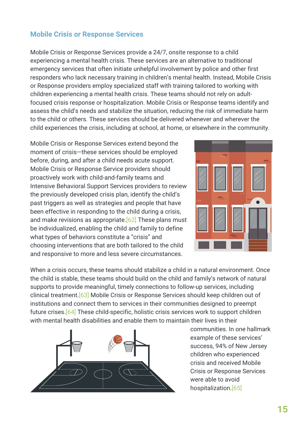#### **Mobile Crisis or Response Services**

Mobile Crisis or Response Services provide a 24/7, onsite response to a child experiencing a mental health crisis. These services are an alternative to traditional emergency services that often initiate unhelpful involvement by police and other first responders who lack necessary training in children's mental health. Instead, Mobile Crisis or Response providers employ specialized staff with training tailored to working with children experiencing a mental health crisis. These teams should not rely on adultfocused crisis response or hospitalization. Mobile Crisis or Response teams identify and assess the child's needs and stabilize the situation, reducing the risk of immediate harm to the child or others. These services should be delivered whenever and wherever the child experiences the crisis, including at school, at home, or elsewhere in the community.

Mobile Crisis or Response Services extend beyond the moment of crisis—these services should be employed before, during, and after a child needs acute support. Mobile Crisis or Response Service providers should proactively work with child-and-family teams and Intensive Behavioral Support Services providers to review the previously developed crisis plan, identify the child's past triggers as well as strategies and people that have been effective in responding to the child during a crisis, and make revisions as appropriate.  $[62]$  These plans must be individualized, enabling the child and family to define what types of behaviors constitute a "crisis" and choosing interventions that are both tailored to the child and responsive to more and less severe circumstances.



When a crisis occurs, these teams should stabilize a child in a natural environment. Once the child is stable, these teams should build on the child and family's network of natural supports to provide meaningful, timely connections to follow-up services, including clinical treatment.[63] Mobile Crisis or Response Services should keep children out of institutions and connect them to services in their communities designed to preempt future crises.[64] These child-specific, holistic crisis services work to support children with mental health disabilities and enable them to maintain their lives in their



communities. In one hallmark example of these services' success, 94% of New Jersey children who experienced crisis and received Mobile Crisis or Response Services were able to avoid hospitalization.[65]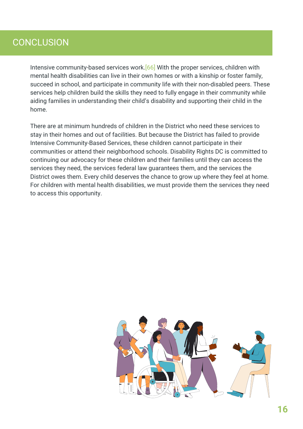## **CONCLUSION**

Intensive community-based services work.[66] With the proper services, children with mental health disabilities can live in their own homes or with a kinship or foster family, succeed in school, and participate in community life with their non-disabled peers. These services help children build the skills they need to fully engage in their community while aiding families in understanding their child's disability and supporting their child in the home.

There are at minimum hundreds of children in the District who need these services to stay in their homes and out of facilities. But because the District has failed to provide Intensive Community-Based Services, these children cannot participate in their communities or attend their neighborhood schools. Disability Rights DC is committed to continuing our advocacy for these children and their families until they can access the services they need, the services federal law guarantees them, and the services the District owes them. Every child deserves the chance to grow up where they feel at home. For children with mental health disabilities, we must provide them the services they need to access this opportunity.

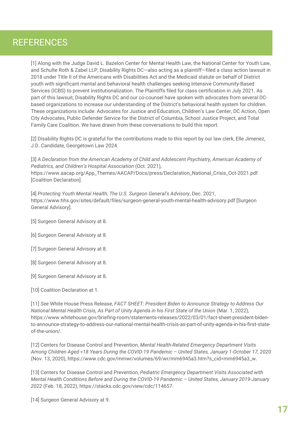## **REFERENCES**

[1] Along with the Judge David L. Bazelon Center for Mental Health Law, the National Center for Youth Law, and Schulte Roth & Zabel LLP, Disability Rights DC—also acting as a plaintiff—filed a class action lawsuit in 2018 under Title II of the Americans with Disabilities Act and the Medicaid statute on behalf of District youth with significant mental and behavioral health challenges seeking Intensive Community-Based Services (ICBS) to prevent institutionalization. The Plaintiffs filed for class certification in July 2021. As part of this lawsuit, Disability Rights DC and our co-counsel have spoken with advocates from several DCbased organizations to increase our understanding of the District's behavioral health system for children. These organizations include: Advocates for Justice and Education, Children's Law Center, DC Action, Open City Advocates, Public Defender Service for the District of Columbia, School Justice Project, and Total Family Care Coalition. We have drawn from these conversations to build this report.

[2] Disability Rights DC is grateful for the contributions made to this report by our law clerk, Elle Jimenez, J.D. Candidate, Georgetown Law 2024.

[3] *A Declaration from the American Academy of Child and Adolescent Psychiatry, American Academy of Pediatrics, and Children's Hospital Association* (Oct. 2021), [https://www.aacap.org/App\\_Themes/AACAP/Docs/press/Declaration\\_National\\_Crisis\\_Oct-2021.pdf](https://www.aacap.org/App_Themes/AACAP/Docs/press/Declaration_National_Crisis_Oct-2021.pdf) [Coalition Declaration].

[4] *Protecting Youth Mental Health, The U.S. Surgeon General's Advisory*, Dec. 2021, <https://www.hhs.gov/sites/default/files/surgeon-general-youth-mental-health-advisory.pdf> [Surgeon General Advisory].

- [5] Surgeon General Advisory at 8.
- [6] Surgeon General Advisory at 8.
- [7] Surgeon General Advisory at 8.
- [8] Surgeon General Advisory at 8.
- [9] Surgeon General Advisory at 8.
- [10] Coalition Declaration at 1.

[11] *See* White House Press Release, *FACT SHEET: President Biden to Announce Strategy to Address Our National Mental Health Crisis, As Part of Unity Agenda in his First State of the Union* (Mar. 1, 2022), https://www.whitehouse.gov/briefing-room/statements-releases/2022/03/01/fact-sheet-president-biden[to-announce-strategy-to-address-our-national-mental-health-crisis-as-part-of-unity-agenda-in-his-first-state](https://www.whitehouse.gov/briefing-room/statements-releases/2022/03/01/fact-sheet-president-biden-to-announce-strategy-to-address-our-national-mental-health-crisis-as-part-of-unity-agenda-in-his-first-state-of-the-union/)of-the-union/.

[12] Centers for Disease Control and Prevention, *Mental Health-Related Emergency Department Visits Among Children Aged <18 Years During the COVID-19 Pandemic – United States, January 1-October 17, 2020* (Nov. 13, 2020), [https://www.cdc.gov/mmwr/volumes/69/wr/mm6945a3.htm?s\\_cid=mm6945a3\\_w](https://www.cdc.gov/mmwr/volumes/69/wr/mm6945a3.htm?s_cid=mm6945a3_w).

[13] Centers for Disease Control and Prevention, *Pediatric Emergency Department Visits Associated with Mental Health Conditions Before and During the COVID-19 Pandemic – United States, January 2019-January 2022* (Feb. 18, 2022), [https://stacks.cdc.gov/view/cdc/114657.](https://stacks.cdc.gov/view/cdc/114657)

[14] Surgeon General Advisory at 9.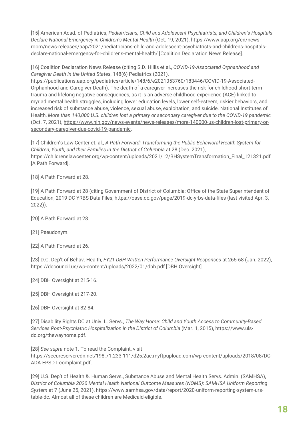[15] American Acad. of Pediatrics, *Pediatricians, Child and Adolescent Psychiatrists, and Children's Hospitals Declare National Emergency in Children's Mental Health* (Oct. 19, 2021), https://www.aap.org/en/news[room/news-releases/aap/2021/pediatricians-child-and-adolescent-psychiatrists-and-childrens-hospitals](https://www.aap.org/en/news-room/news-releases/aap/2021/pediatricians-child-and-adolescent-psychiatrists-and-childrens-hospitals-declare-national-emergency-for-childrens-mental-health/)declare-national-emergency-for-childrens-mental-health/ [Coalition Declaration News Release].

[16] Coalition Declaration News Release (citing S.D. Hillis et al., *COVID-19-Associated Orphanhood and Caregiver Death in the United States*, 148(6) Pediatrics (2021),

[https://publications.aap.org/pediatrics/article/148/6/e2021053760/183446/COVID-19-Associated-](https://publications.aap.org/pediatrics/article/148/6/e2021053760/183446/COVID-19-Associated-Orphanhood-and-Caregiver-Death)Orphanhood-and-Caregiver-Death). The death of a caregiver increases the risk for childhood short-term trauma and lifelong negative consequences, as it is an adverse childhood experience (ACE) linked to myriad mental health struggles, including lower education levels, lower self-esteem, riskier behaviors, and increased risk of substance abuse, violence, sexual abuse, exploitation, and suicide. National Institutes of Health, *More than 140,000 U.S. children lost a primary or secondary caregiver due to the COVID-19 pandemic* (Oct. 7, 2021), [https://www.nih.gov/news-events/news-releases/more-140000-us-children-lost-primary-or](https://www.nih.gov/news-events/news-releases/more-140000-us-children-lost-primary-or-secondary-caregiver-due-covid-19-pandemic)secondary-caregiver-due-covid-19-pandemic.

[17] Children's Law Center et. al., *A Path Forward: Transforming the Public Behavioral Health System for Children, Youth, and their Families in the District of Columbia* at 28 (Dec. 2021), [https://childrenslawcenter.org/wp-content/uploads/2021/12/BHSystemTransformation\\_Final\\_121321.pdf](https://childrenslawcenter.org/wp-content/uploads/2021/12/BHSystemTransformation_Final_121321.pdf) [A Path Forward].

[18] A Path Forward at 28.

[19] A Path Forward at 28 (citing Government of District of Columbia: Office of the State Superintendent of Education, 2019 DC YRBS Data Files, <https://osse.dc.gov/page/2019-dc-yrbs-data-files> (last visited Apr. 3, 2022)).

[20] A Path Forward at 28.

[21] Pseudonym.

[22] A Path Forward at 26.

[23] D.C. Dep't of Behav. Health, *FY21 DBH Written Performance Oversight Responses* at 265-68 (Jan. 2022), <https://dccouncil.us/wp-content/uploads/2022/01/dbh.pdf> [DBH Oversight].

[24] DBH Oversight at 215-16.

[25] DBH Oversight at 217-20.

[26] DBH Oversight at 82-84.

[27] Disability Rights DC at Univ. L. Servs., *The Way Home: Child and Youth Access to Community-Based Services Post-Psychiatric Hospitalization in the District of Columbia* (Mar. 1, 2015), https://www.uls[dc.org/thewayhome.pdf.](https://www.uls-dc.org/thewayhome.pdf)

[28] *See supra* note 1. To read the Complaint, visit [https://secureservercdn.net/198.71.233.111/d25.2ac.myftpupload.com/wp-content/uploads/2018/08/DC-](https://secureservercdn.net/198.71.233.111/d25.2ac.myftpupload.com/wp-content/uploads/2018/08/DC-ADA-EPSDT-complaint.pdf)ADA-EPSDT-complaint.pdf.

[29] U.S. Dep't of Health &. Human Servs., Substance Abuse and Mental Health Servs. Admin. (SAMHSA), *District of Columbia 2020 Mental Health National Outcome Measures (NOMS): SAMHSA Uniform Reporting System* at 7 (June 25, 2021), [https://www.samhsa.gov/data/report/2020-uniform-reporting-system-urs](https://www.samhsa.gov/data/report/2020-uniform-reporting-system-urs-table-dc)table-dc. Almost all of these children are Medicaid-eligible.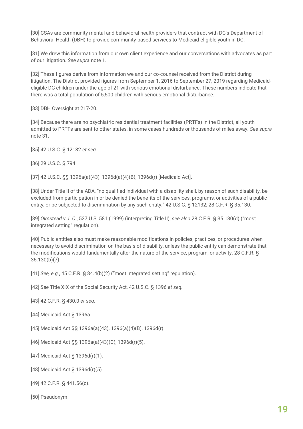[30] CSAs are community mental and behavioral health providers that contract with DC's Department of Behavioral Health (DBH) to provide community-based services to Medicaid-eligible youth in DC.

[31] We drew this information from our own client experience and our conversations with advocates as part of our litigation. *See supra* note 1.

[32] These figures derive from information we and our co-counsel received from the District during litigation. The District provided figures from September 1, 2016 to September 27, 2019 regarding Medicaideligible DC children under the age of 21 with serious emotional disturbance. These numbers indicate that there was a total population of 5,500 children with serious emotional disturbance.

[33] DBH Oversight at 217-20.

[34] Because there are no psychiatric residential treatment facilities (PRTFs) in the District, all youth admitted to PRTFs are sent to other states, in some cases hundreds or thousands of miles away. *See supra* note 31.

[35] 42 U.S.C. § 12132 *et seq.*

[36] 29 U.S.C. § 794.

[37] 42 U.S.C. §§ 1396a(a)(43), 1396d(a)(4)(B), 1396d(r) [Medicaid Act].

[38] Under Title II of the ADA, "no qualified individual with a disability shall, by reason of such disability, be excluded from participation in or be denied the benefits of the services, programs, or activities of a public entity, or be subjected to discrimination by any such entity." 42 U.S.C. § 12132; 28 C.F.R. § 35.130.

[39] *Olmstead v. L.C.*, 527 U.S. 581 (1999) (interpreting Title II); *see also* 28 C.F.R. § 35.130(d) ("most integrated setting" regulation).

[40] Public entities also must make reasonable modifications in policies, practices, or procedures when necessary to avoid discrimination on the basis of disability, unless the public entity can demonstrate that the modifications would fundamentally alter the nature of the service, program, or activity. 28 C.F.R. § 35.130(b)(7).

[41] *See, e.g.*, 45 C.F.R. § 84.4(b)(2) ("most integrated setting" regulation).

[42] *See* Title XIX of the Social Security Act, 42 U.S.C. § 1396 *et seq.*

[43] 42 C.F.R. § 430.0 *et seq.*

[44] Medicaid Act § 1396a.

[45] Medicaid Act §§ 1396a(a)(43), 1396(a)(4)(B), 1396d(r).

[46] Medicaid Act §§ 1396a(a)(43)(C), 1396d(r)(5).

[47] Medicaid Act § 1396d(r)(1).

[48] Medicaid Act § 1396d(r)(5).

[49] 42 C.F.R. § 441.56(c).

[50] Pseudonym.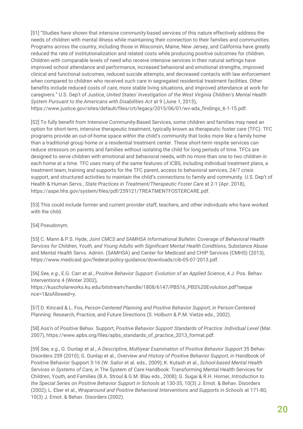[51] "Studies have shown that intensive community-based services of this nature effectively address the needs of children with mental illness while maintaining their connection to their families and communities. Programs across the country, including those in Wisconsin, Maine, New Jersey, and California have greatly reduced the rate of institutionalization and related costs while producing positive outcomes for children. Children with comparable levels of need who receive intensive services in their natural settings have improved school attendance and performance, increased behavioral and emotional strengths, improved clinical and functional outcomes, reduced suicide attempts, and decreased contacts with law enforcement when compared to children who received such care in segregated residential treatment facilities. Other benefits include reduced costs of care, more stable living situations, and improved attendance at work for caregivers." U.S. Dep't of Justice, *United States' Investigation of the West Virginia Children's Mental Health System Pursuant to the Americans with Disabilities Act* at 9 (June 1, 2015), [https://www.justice.gov/sites/default/files/crt/legacy/2015/06/01/wv-ada\\_findings\\_6-1-15.pdf.](https://www.justice.gov/sites/default/files/crt/legacy/2015/06/01/wv-ada_findings_6-1-15.pdf)

[52] To fully benefit from Intensive Community-Based Services, some children and families may need an option for short-term, intensive therapeutic treatment, typically known as therapeutic foster care (TFC). TFC programs provide an out-of-home space within the child's community that looks more like a family home than a traditional group home or a residential treatment center. These short-term respite services can reduce stressors on parents and families without isolating the child for long periods of time. TFCs are designed to serve children with emotional and behavioral needs, with no more than one to two children in each home at a time. TFC uses many of the same features of ICBS, including individual treatment plans, a treatment team, training and supports for the TFC parent, access to behavioral services, 24/7 crisis support, and structured activities to maintain the child's connections to family and community. U.S. Dep't of Health & Human Servs., *State Practices in Treatment/Therapeutic Foster Care* at 2-1 (Apr. 2018), [https://aspe.hhs.gov/system/files/pdf/259121/TREATMENTFOSTERCARE.pdf](https://aspe.hhs.gov/sites/default/files/private/pdf/259121/TREATMENTFOSTERCARE.pdf).

[53] This could include former and current provider staff, teachers, and other individuals who have worked with the child.

[54] Pseudonym.

[55] C. Mann & P.S. Hyde, *Joint CMCS and SAMHSA Informational Bulletin: Coverage of Behavioral Health Services for Children, Youth, and Young Adults with Significant Mental Health Conditions*, Substance Abuse and Mental Health Servs. Admin. (SAMHSA) and Center for Medicaid and CHIP Services (CMHS) (2013), [https://www.medicaid.gov/federal-policy-guidance/downloads/cib-05-07-2013.pdf.](https://www.medicaid.gov/federal-policy-guidance/downloads/cib-05-07-2013.pdf)

[56] *See, e.g.*, E.G. Carr et al., *Positive Behavior Support: Evolution of an Applied Science*, 4 J. Pos. Behav. Interventions 4 (Winter 2002),

[https://kuscholarworks.ku.edu/bitstream/handle/1808/6147/PBS16\\_PBS%20Evolution.pdf?seque](https://kuscholarworks.ku.edu/bitstream/handle/1808/6147/PBS16_PBS%20Evolution.pdf?seque%20nce=1&isAllowed=y) nce=1&isAllowed=y.

[57] D. Kincaid & L. Fox, *Person-Centered Planning and Positive Behavior Support, in* Person-Centered Planning: Research, Practice, and Future Directions (S. Holburn & P.M. Vietze eds., 2002).

[58] Ass'n of Positive Behav. Support, *Positive Behavior Support Standards of Practice: Individual Level* (Mar. 2007), [https://www.apbs.org/files/apbs\\_standards\\_of\\_practice\\_2013\\_format.pdf.](https://www.apbs.org/files/apbs_standards_of_practice_2013_format.pdf)

[59] *See, e.g.*, G. Dunlap et al., *A Descriptive, Multiyear Examination of Positive Behavior Support* 35 Behav. Disorders 259 (2010); G. Dunlap et al., *Overview and History of Positive Behavior Support, in* Handbook of Positive Behavior Support 3-16 (W. Sailor et al. eds., 2009); K. Kutash et al., *School-based Mental Health Services in Systems of Care, in* The System of Care Handbook: Transforming Mental Health Services for Children, Youth, and Families (B.A. Stroul & G.M. Blau eds., 2008); G. Sugai & R.H. Horner, *Introduction to the Special Series on Positive Behavior Support in Schools* at 130-35, 10(3) J. Emot. & Behav. Disorders (2002); L. Eber et al., *Wraparound and Positive Behavioral Interventions and Supports in Schools* at 171-80, 10(3) J. Emot. & Behav. Disorders (2002).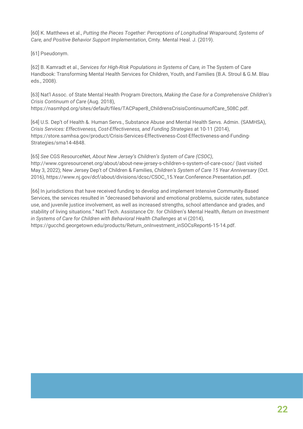[60] K. Matthews et al., *Putting the Pieces Together: Perceptions of Longitudinal Wraparound, Systems of Care, and Positive Behavior Support Implementation*, Cmty. Mental Heal. J. (2019).

[61] Pseudonym.

[62] B. Kamradt et al., *Services for High-Risk Populations in Systems of Care, in* The System of Care Handbook: Transforming Mental Health Services for Children, Youth, and Families (B.A. Stroul & G.M. Blau eds., 2008).

[63] Nat'l Assoc. of State Mental Health Program Directors, *Making the Case for a Comprehensive Children's Crisis Continuum of Care* (Aug. 2018), [https://nasmhpd.org/sites/default/files/TACPaper8\\_ChildrensCrisisContinuumofCare\\_508C.pdf](https://nasmhpd.org/sites/default/files/TACPaper8_ChildrensCrisisContinuumofCare_508C.pdf).

[64] U.S. Dep't of Health &. Human Servs., Substance Abuse and Mental Health Servs. Admin. (SAMHSA), *Crisis Services: Effectiveness, Cost-Effectiveness, and Funding Strategies* at 10-11 (2014), [https://store.samhsa.gov/product/Crisis-Services-Effectiveness-Cost-Effectiveness-and-Funding-](https://store.samhsa.gov/product/Crisis-Services-Effectiveness-Cost-Effectiveness-and-Funding-Strategies/sma14-4848)Strategies/sma14-4848.

[65] *See* CGS ResourceNet, *About New Jersey's Children's System of Care (CSOC)*, [http://www.cgsresourcenet.org/about/about-new-jersey-s-children-s-system-of-care-csoc/](https://www.cgsresourcenet.org/about/about-new-jersey-s-children-s-system-of-care-csoc/) (last visited May 3, 2022); New Jersey Dep't of Children & Families, *Children's System of Care 15 Year Anniversary* (Oct. 2016), [https://www.nj.gov/dcf/about/divisions/dcsc/CSOC\\_15.Year.Conference.Presentation.pdf.](https://www.nj.gov/dcf/about/divisions/dcsc/CSOC_15.Year.Conference.Presentation.pdf)

[66] In jurisdictions that have received funding to develop and implement Intensive Community-Based Services, the services resulted in "decreased behavioral and emotional problems, suicide rates, substance use, and juvenile justice involvement, as well as increased strengths, school attendance and grades, and stability of living situations." Nat'l Tech. Assistance Ctr. for Children's Mental Health, *Return on Investment in Systems of Care for Children with Behavioral Health Challenges* at vi (2014), [https://gucchd.georgetown.edu/products/Return\\_onInvestment\\_inSOCsReport6-15-14.pdf.](https://gucchd.georgetown.edu/products/Return_onInvestment_inSOCsReport6-15-14.pdf)